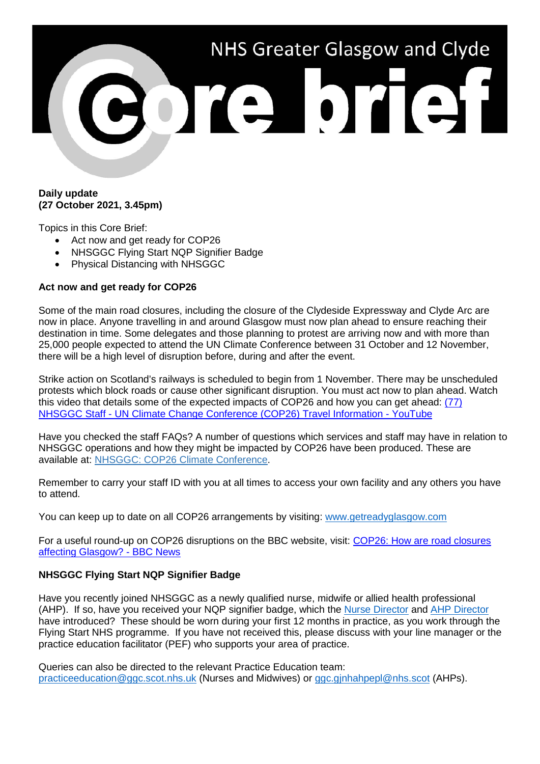

## **Daily update (27 October 2021, 3.45pm)**

Topics in this Core Brief:

- Act now and get ready for COP26
- NHSGGC Flying Start NQP Signifier Badge
- Physical Distancing with NHSGGC

## **Act now and get ready for COP26**

Some of the main road closures, including the closure of the Clydeside Expressway and Clyde Arc are now in place. Anyone travelling in and around Glasgow must now plan ahead to ensure reaching their destination in time. Some delegates and those planning to protest are arriving now and with more than 25,000 people expected to attend the UN Climate Conference between 31 October and 12 November, there will be a high level of disruption before, during and after the event.

Strike action on Scotland's railways is scheduled to begin from 1 November. There may be unscheduled protests which block roads or cause other significant disruption. You must act now to plan ahead. Watch this video that details some of the expected impacts of COP26 and how you can get ahead: [\(77\)](https://www.youtube.com/watch?v=XshPABt9qlE&t=4s)  NHSGGC Staff - [UN Climate Change Conference \(COP26\) Travel Information -](https://www.youtube.com/watch?v=XshPABt9qlE&t=4s) YouTube

Have you checked the staff FAQs? A number of questions which services and staff may have in relation to NHSGGC operations and how they might be impacted by COP26 have been produced. These are available at: [NHSGGC: COP26 Climate Conference.](https://www.nhsggc.org.uk/about-us/cop26-conference/staff-information/)

Remember to carry your staff ID with you at all times to access your own facility and any others you have to attend.

You can keep up to date on all COP26 arrangements by visiting: [www.getreadyglasgow.com](http://www.getreadyglasgow.com/)

For a useful round-up on COP26 disruptions on the BBC website, visit: COP26: How are road closures [affecting Glasgow? -](https://www.bbc.co.uk/news/uk-scotland-58809709) BBC News

## **NHSGGC Flying Start NQP Signifier Badge**

Have you recently joined NHSGGC as a newly qualified nurse, midwife or allied health professional (AHP). If so, have you received your NQP signifier badge, which the [Nurse Director](https://www.youtube.com/watch?v=xuMldVYLylA) and [AHP Director](https://youtu.be/I9wK4_MsSn4) have introduced? These should be worn during your first 12 months in practice, as you work through the Flying Start NHS programme. If you have not received this, please discuss with your line manager or the practice education facilitator (PEF) who supports your area of practice.

Queries can also be directed to the relevant Practice Education team: [practiceeducation@ggc.scot.nhs.uk](mailto:practiceeducation@ggc.scot.nhs.uk) (Nurses and Midwives) or [ggc.gjnhahpepl@nhs.scot](mailto:ggc.gjnhahpepl@nhs.scot) (AHPs).